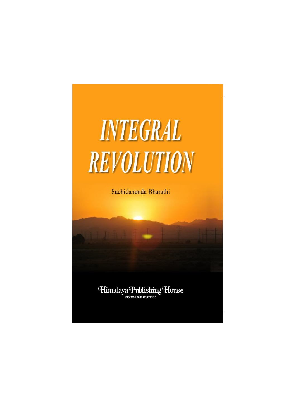

Sachidananda Bharathi

Himalaya Publishing House ISO 9001:2008 CERTIFIED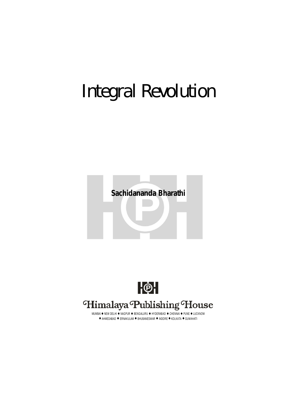# Integral Revolution





## Himalaya Publishing House

MUMBAI ● NEW DELHI ● NAGPUR ● BENGALURU ● HYDERABAD ● CHENNAI ● PUNE ● LUCKNOW  $\bullet$  AHMEDABAD  $\bullet$  ERNAKULAM  $\bullet$  BHUBANESWAR  $\bullet$  INDORE  $\bullet$  KOLKATA  $\bullet$  GUWAHATI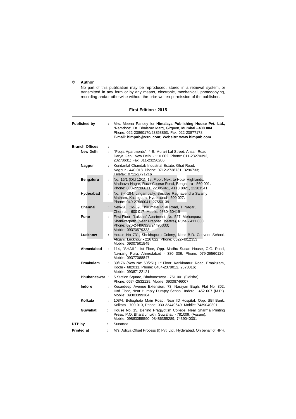#### © **Author**

No part of this publication may be reproduced, stored in a retrieval system, or transmitted in any form or by any means, electronic, mechanical, photocopying, recording and/or otherwise without the prior written permission of the publisher.

#### **First Edition : 2015**

| <b>Published by</b>   | ÷  | Mrs. Meena Pandey for Himalaya Publishing House Pvt. Ltd.,<br>"Ramdoot", Dr. Bhalerao Marg, Girgaon, Mumbai - 400 004.<br>Phone: 022-23860170/23863863, Fax: 022-23877178<br>E-mail: himpub@vsnl.com; Website: www.himpub.com |
|-----------------------|----|-------------------------------------------------------------------------------------------------------------------------------------------------------------------------------------------------------------------------------|
| <b>Branch Offices</b> | ÷  |                                                                                                                                                                                                                               |
| <b>New Delhi</b>      | ÷  | "Pooja Apartments", 4-B, Murari Lal Street, Ansari Road,<br>Darya Ganj, New Delhi - 110 002. Phone: 011-23270392,<br>23278631; Fax: 011-23256286                                                                              |
| Nagpur                | ÷  | Kundanlal Chandak Industrial Estate, Ghat Road,<br>Nagpur - 440 018. Phone: 0712-2738731, 3296733;<br>Telefax: 0712-2721216                                                                                                   |
| <b>Bengaluru</b>      | ÷  | No. 16/1 (Old 12/1), 1st Floor, Next to Hotel Highlands,<br>Madhava Nagar, Race Course Road, Bengaluru - 560 001.<br>Phone: 080-22286611, 22385461, 4113 8821, 22281541                                                       |
| Hyderabad             | ÷  | No. 3-4-184, Lingampally, Besides Raghavendra Swamy<br>Matham, Kachiguda, Hyderabad - 500 027.<br>Phone: 040-27560041, 27550139                                                                                               |
| Chennai               | ÷  | New-20, Old-59, Thirumalai Pillai Road, T. Nagar,<br>Chennai - 600 017. Mobile: 9380460419                                                                                                                                    |
| Pune                  | ÷  | First Floor, "Laksha" Apartment, No. 527, Mehunpura,<br>Shaniwarpeth (Near Prabhat Theatre), Pune - 411 030.<br>Phone: 020-24496323/24496333;<br>Mobile: 09370579333                                                          |
| Lucknow               | ÷  | House No 731, Shekhupura Colony, Near B.D. Convent School,<br>Aliganj, Lucknow - 226 022. Phone: 0522-4012353;<br>Mobile: 09307501549                                                                                         |
| Ahmedabad             | ÷. | 114, "SHAIL", 1st Floor, Opp. Madhu Sudan House, C.G. Road,<br>Navrang Pura, Ahmedabad - 380 009. Phone: 079-26560126;<br>Mobile: 09377088847                                                                                 |
| Ernakulam             | ÷  | 39/176 (New No: 60/251) 1st Floor, Karikkamuri Road, Ernakulam,<br>Kochi - 682011. Phone: 0484-2378012, 2378016;<br>Mobile: 09387122121                                                                                       |
| <b>Bhubaneswar:</b>   |    | 5 Station Square, Bhubaneswar - 751 001 (Odisha).<br>Phone: 0674-2532129, Mobile: 09338746007                                                                                                                                 |
| <b>Indore</b>         | ÷  | Kesardeep Avenue Extension, 73, Narayan Bagh, Flat No. 302,<br>Illrd Floor, Near Humpty Dumpty School, Indore - 452 007 (M.P.).<br>Mobile: 09303399304                                                                        |
| Kolkata               | ÷  | 108/4, Beliaghata Main Road, Near ID Hospital, Opp. SBI Bank,<br>Kolkata - 700 010, Phone: 033-32449649, Mobile: 7439040301                                                                                                   |
| Guwahati              | ÷  | House No. 15, Behind Pragjyotish College, Near Sharma Printing<br>Press, P.O. Bharalumukh, Guwahati - 781009, (Assam).<br>Mobile: 09883055590, 08486355289, 7439040301                                                        |
| DTP by                | ÷  | Sunanda                                                                                                                                                                                                                       |
| <b>Printed at</b>     | ÷  | M/s. Aditya Offset Process (I) Pvt. Ltd., Hyderabad. On behalf of HPH.                                                                                                                                                        |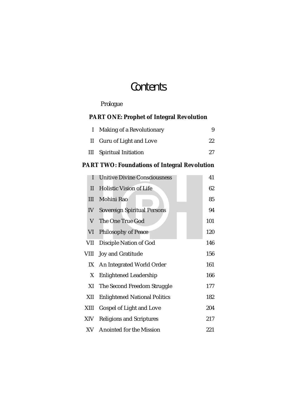# **Contents**

### *Prologue*

#### **PART ONE: Prophet of Integral Revolution**

| Making of a Revolutionary |     |
|---------------------------|-----|
| II Guru of Light and Love | 22. |
| III Spiritual Initiation  | 27. |

#### **PART TWO: Foundations of Integral Revolution**

| ı    | <b>Unitive Divine Consciousness</b>  | 41  |
|------|--------------------------------------|-----|
| П.   | <b>Holistic Vision of Life</b>       | 62  |
| Ш    | Mohini Rao                           | 85  |
| IV   | Sovereign Spiritual Persons          | 94  |
| V    | The One True God                     | 101 |
| VI   | Philosophy of Peace                  | 120 |
| VII  | Disciple Nation of God               | 146 |
| VIII | Joy and Gratitude                    | 156 |
| IX   | An Integrated World Order            | 161 |
| X    | <b>Enlightened Leadership</b>        | 166 |
| XI   | The Second Freedom Struggle          | 177 |
| XII  | <b>Enlightened National Politics</b> | 182 |
| XIII | Gospel of Light and Love             | 204 |
| XIV  | <b>Religions and Scriptures</b>      | 217 |
| XV   | Anointed for the Mission             | 221 |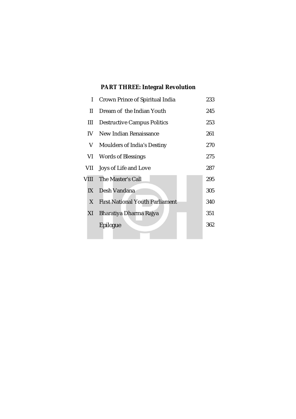## **PART THREE: Integral Revolution**

| I    | Crown Prince of Spiritual India        |     |  |
|------|----------------------------------------|-----|--|
| Ш.   | Dream of the Indian Youth              | 245 |  |
| Ш    | <b>Destructive Campus Politics</b>     | 253 |  |
| IV - | New Indian Renaissance                 |     |  |
| V.   | Moulders of India's Destiny            | 270 |  |
|      | VI Words of Blessings                  | 275 |  |
| VII  | Joys of Life and Love                  | 287 |  |
|      | VIII The Master's Call                 | 295 |  |
| IX   | Desh Vandana                           | 305 |  |
| X.   | <b>First National Youth Parliament</b> | 340 |  |
| ΧI   | Bharatiya Dharma Rajya                 | 351 |  |
|      | Epilogue                               | 362 |  |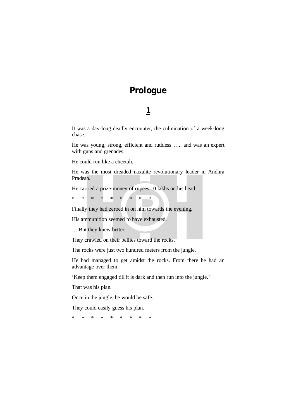### **Prologue**

#### **1**

It was a day-long deadly encounter, the culmination of a week-long chase.

He was young, strong, efficient and ruthless ….. and was an expert with guns and grenades.

He could run like a cheetah.

He was the most dreaded naxalite revolutionary leader in Andhra Pradesh.

He carried a prize-money of rupees 10 lakhs on his head.

\* \* \* \* \* \* \* \* \*

Finally they had zeroed in on him towards the evening.

His ammunition seemed to have exhausted.

… But they knew better.

They crawled on their bellies toward the rocks.

The rocks were just two hundred meters from the jungle.

He had managed to get amidst the rocks. From there he had an advantage over them.

'Keep them engaged till it is dark and then run into the jungle.'

That was his plan.

Once in the jungle, he would be safe.

They could easily guess his plan.

\* \* \* \* \* \* \* \* \*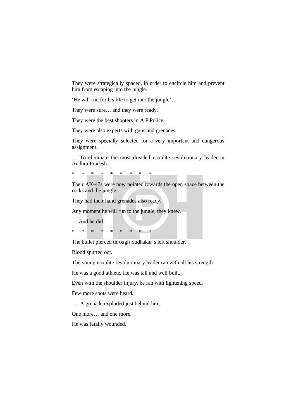They were strategically spaced, in order to encircle him and prevent him from escaping into the jungle.

'He will run for his life to get into the jungle'…

They were sure… and they were ready.

They were the best shooters in A P Police.

They were also experts with guns and grenades.

They were specially selected for a very important and dangerous assignment.

… To eliminate the most dreaded naxalite revolutionary leader in Andhra Pradesh.

\* \* \* \* \* \* \* \* \*

Their AK-47s were now pointed towards the open space between the rocks and the jungle.

They had their hand grenades also ready.

Any moment he will run to the jungle, they knew.

… And he did.

\* \* \* \* \* \* \* \* \*

The bullet pierced through Sudhakar's left shoulder.

Blood spurted out.

The young naxalite revolutionary leader ran with all his strength.

He was a good athlete. He was tall and well built.

Even with the shoulder injury, he ran with lightening speed.

Few more shots were heard.

…. A grenade exploded just behind him.

One more… and one more.

He was fatally wounded.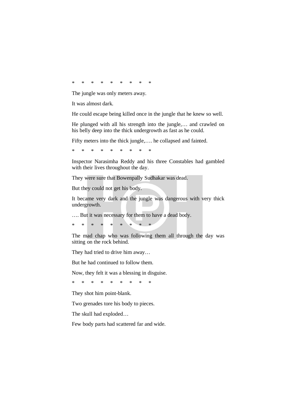\* \* \* \* \* \* \* \* \*

The jungle was only meters away.

It was almost dark.

He could escape being killed once in the jungle that he knew so well.

He plunged with all his strength into the jungle,… and crawled on his belly deep into the thick undergrowth as fast as he could.

Fifty meters into the thick jungle,…. he collapsed and fainted.

\* \* \* \* \* \* \* \* \*

Inspector Narasimha Reddy and his three Constables had gambled with their lives throughout the day.

They were sure that Bowenpally Sudhakar was dead.

But they could not get his body.

It became very dark and the jungle was dangerous with very thick undergrowth.

…. But it was necessary for them to have a dead body.

\* \* \* \* \* \* \* \* \*

The mad chap who was following them all through the day was sitting on the rock behind.

They had tried to drive him away…

But he had continued to follow them.

Now, they felt it was a blessing in disguise.

\* \* \* \* \* \* \* \* \*

They shot him point-blank.

Two grenades tore his body to pieces.

The skull had exploded…

Few body parts had scattered far and wide.